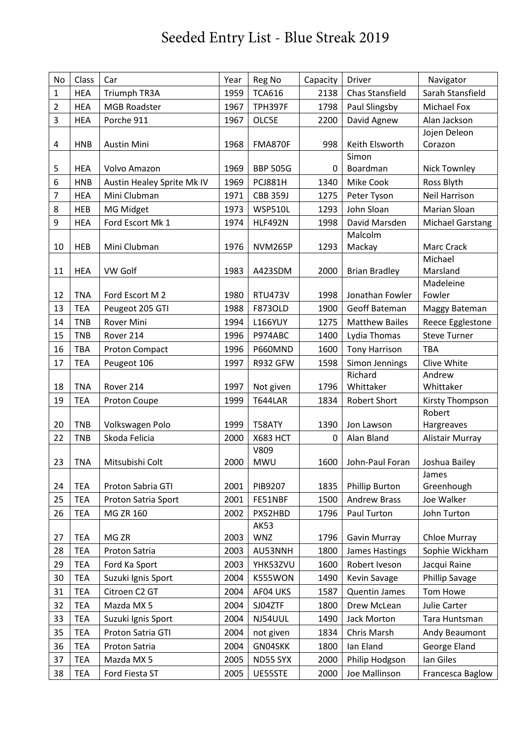## Seeded Entry List - Blue Streak 2019

| No             | Class      | Car                        | Year | Reg No                  | Capacity | Driver                 | Navigator               |
|----------------|------------|----------------------------|------|-------------------------|----------|------------------------|-------------------------|
| 1              | <b>HEA</b> | Triumph TR3A               | 1959 | <b>TCA616</b>           | 2138     | Chas Stansfield        | Sarah Stansfield        |
| $\overline{2}$ | <b>HEA</b> | <b>MGB Roadster</b>        | 1967 | <b>TPH397F</b>          | 1798     | Paul Slingsby          | Michael Fox             |
| 3              | <b>HEA</b> | Porche 911                 | 1967 | OLC5E                   | 2200     | David Agnew            | Alan Jackson            |
|                |            |                            |      |                         |          |                        | Jojen Deleon            |
| 4              | <b>HNB</b> | Austin Mini                | 1968 | <b>FMA870F</b>          | 998      | Keith Elsworth         | Corazon                 |
|                |            |                            |      |                         |          | Simon                  |                         |
| 5              | <b>HEA</b> | Volvo Amazon               | 1969 | <b>BBP 505G</b>         | 0        | Boardman               | <b>Nick Townley</b>     |
| 6              | <b>HNB</b> | Austin Healey Sprite Mk IV | 1969 | <b>PCJ881H</b>          | 1340     | Mike Cook              | Ross Blyth              |
| 7              | <b>HEA</b> | Mini Clubman               | 1971 | <b>CBB 359J</b>         | 1275     | Peter Tyson            | Neil Harrison           |
| 8              | <b>HEB</b> | MG Midget                  | 1973 | <b>WSP510L</b>          | 1293     | John Sloan             | Marian Sloan            |
| 9              | <b>HEA</b> | Ford Escort Mk 1           | 1974 | <b>HLF492N</b>          | 1998     | David Marsden          | <b>Michael Garstang</b> |
| 10             | <b>HEB</b> | Mini Clubman               | 1976 | <b>NVM265P</b>          | 1293     | Malcolm<br>Mackay      | Marc Crack              |
|                |            |                            |      |                         |          |                        | Michael                 |
| 11             | <b>HEA</b> | VW Golf                    | 1983 | A423SDM                 | 2000     | <b>Brian Bradley</b>   | Marsland                |
|                |            |                            |      |                         |          |                        | Madeleine               |
| 12             | <b>TNA</b> | Ford Escort M 2            | 1980 | RTU473V                 | 1998     | Jonathan Fowler        | Fowler                  |
| 13             | <b>TEA</b> | Peugeot 205 GTI            | 1988 | <b>F873OLD</b>          | 1900     | Geoff Bateman          | Maggy Bateman           |
| 14             | <b>TNB</b> | <b>Rover Mini</b>          | 1994 | <b>L166YUY</b>          | 1275     | <b>Matthew Bailes</b>  | Reece Egglestone        |
| 15             | <b>TNB</b> | Rover 214                  | 1996 | P974ABC                 | 1400     | Lydia Thomas           | <b>Steve Turner</b>     |
| 16             | <b>TBA</b> | Proton Compact             | 1996 | P660MND                 | 1600     | <b>Tony Harrison</b>   | <b>TBA</b>              |
| 17             | <b>TEA</b> | Peugeot 106                | 1997 | R932 GFW                | 1598     | Simon Jennings         | Clive White             |
|                |            |                            |      |                         |          | Richard                | Andrew                  |
| 18             | <b>TNA</b> | Rover 214                  | 1997 | Not given               | 1796     | Whittaker              | Whittaker               |
| 19             | <b>TEA</b> | Proton Coupe               | 1999 | <b>T644LAR</b>          | 1834     | <b>Robert Short</b>    | Kirsty Thompson         |
|                |            |                            |      |                         |          |                        | Robert                  |
| 20             | <b>TNB</b> | Volkswagen Polo            | 1999 | T58ATY                  | 1390     | Jon Lawson             | Hargreaves              |
| 22             | <b>TNB</b> | Skoda Felicia              | 2000 | <b>X683 HCT</b><br>V809 | 0        | Alan Bland             | Alistair Murray         |
| 23             | <b>TNA</b> | Mitsubishi Colt            | 2000 | MWU                     |          | 1600   John-Paul Foran | Joshua Bailey           |
|                |            |                            |      |                         |          |                        | James                   |
| 24             | <b>TEA</b> | Proton Sabria GTI          | 2001 | PIB9207                 | 1835     | <b>Phillip Burton</b>  | Greenhough              |
| 25             | <b>TEA</b> | Proton Satria Sport        | 2001 | FE51NBF                 | 1500     | <b>Andrew Brass</b>    | Joe Walker              |
| 26             | <b>TEA</b> | MG ZR 160                  | 2002 | PX52HBD                 | 1796     | Paul Turton            | John Turton             |
|                |            |                            |      | AK53                    |          |                        |                         |
| 27             | <b>TEA</b> | MG <sub>ZR</sub>           | 2003 | <b>WNZ</b>              | 1796     | Gavin Murray           | <b>Chloe Murray</b>     |
| 28             | <b>TEA</b> | Proton Satria              | 2003 | AU53NNH                 | 1800     | <b>James Hastings</b>  | Sophie Wickham          |
| 29             | <b>TEA</b> | Ford Ka Sport              | 2003 | YHK53ZVU                | 1600     | Robert Iveson          | Jacqui Raine            |
| 30             | <b>TEA</b> | Suzuki Ignis Sport         | 2004 | K555WON                 | 1490     | Kevin Savage           | <b>Phillip Savage</b>   |
| 31             | <b>TEA</b> | Citroen C2 GT              | 2004 | AF04 UKS                | 1587     | Quentin James          | Tom Howe                |
| 32             | <b>TEA</b> | Mazda MX 5                 | 2004 | SJ04ZTF                 | 1800     | Drew McLean            | Julie Carter            |
| 33             | <b>TEA</b> | Suzuki Ignis Sport         | 2004 | NJ54UUL                 | 1490     | Jack Morton            | Tara Huntsman           |
| 35             | <b>TEA</b> | Proton Satria GTI          | 2004 | not given               | 1834     | Chris Marsh            | Andy Beaumont           |
| 36             | <b>TEA</b> | Proton Satria              | 2004 | GN04SKK                 | 1800     | Ian Eland              | George Eland            |
| 37             | <b>TEA</b> | Mazda MX 5                 | 2005 | ND55 SYX                | 2000     | Philip Hodgson         | Ian Giles               |
| 38             | <b>TEA</b> | Ford Fiesta ST             | 2005 | UE55STE                 | 2000     | Joe Mallinson          | Francesca Baglow        |